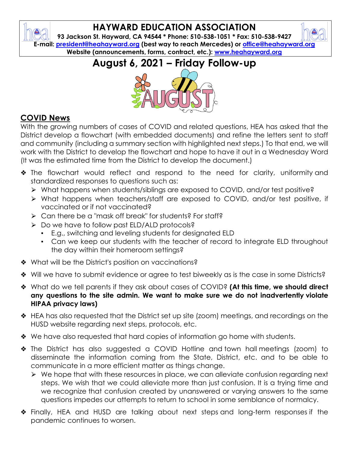## **HAYWARD EDUCATION ASSOCIATION**

**93 Jackson St. Hayward, CA 94544 \* Phone: 510-538-1051 \* Fax: 510-538-9427 E-mail: [president@heahayward.org](mailto:president@heahayward.org) (best way to reach Mercedes) or [office@heahayward.org](mailto:office@heahayward.org) Website (announcements, forms, contract, etc.): [www.heahayward.org](http://www.heahayward.org/)**

## **August 6, 2021 – Friday Follow-up**



## **COVID News**

₩

With the growing numbers of cases of COVID and related questions, HEA has asked that the District develop a flowchart (with embedded documents) and refine the letters sent to staff and community (including a summary section with highlighted next steps.) To that end, we will work with the District to develop the flowchart and hope to have it out in a Wednesday Word (It was the estimated time from the District to develop the document.)

- ❖ The flowchart would reflect and respond to the need for clarity, uniformity and standardized responses to questions such as:
	- ⮚ What happens when students/siblings are exposed to COVID, and/or test positive?
	- ⮚ What happens when teachers/staff are exposed to COVID, and/or test positive, if vaccinated or if not vaccinated?
	- **► Can there be a "mask off break" for students? For staff?**
	- **►** Do we have to follow past ELD/ALD protocols?
		- E.g., switching and leveling students for designated ELD
		- Can we keep our students with the teacher of record to integrate ELD throughout the day within their homeroom settings?
- ❖ What will be the District's position on vaccinations?
- ❖ Will we have to submit evidence or agree to test biweekly as is the case in some Districts?
- ❖ What do we tell parents if they ask about cases of COVID? **(At this time, we should direct any questions to the site admin. We want to make sure we do not inadvertently violate HIPAA privacy laws)**
- ❖ HEA has also requested that the District set up site (zoom) meetings, and recordings on the HUSD website regarding next steps, protocols, etc.
- ❖ We have also requested that hard copies of information go home with students.
- ❖ The District has also suggested a COVID Hotline and town hall meetings (zoom) to disseminate the information coming from the State, District, etc. and to be able to communicate in a more efficient matter as things change.
	- **E** We hope that with these resources in place, we can alleviate confusion regarding next steps. We wish that we could alleviate more than just confusion. It is a trying time and we recognize that confusion created by unanswered or varying answers to the same questions impedes our attempts to return to school in some semblance of normalcy.
- ❖ Finally, HEA and HUSD are talking about next steps and long-term responses if the pandemic continues to worsen.